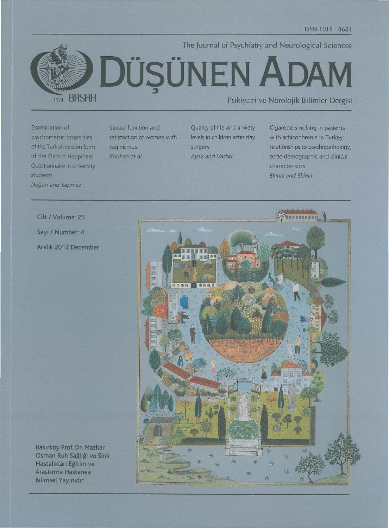

The Journal of Psychiatry and Neurological Sciences DÜŞÜNEN ADAM

Psikiyatri ve Nörolojik Bilimler Dergisi

Examination of psychometric properties of the Turkish version form of the Oxford Happiness Questionnaire in university students Doğan and Sapmaz

Sexual function and satisfaction of women with vaginismus Konkan et al.

Quality of life and anxiety levels in children after day surgery Ayaz and Varlıklı

Cigarette smoking in patients with schizophrenia in Turkey: relationships to psychopathology, socio-demographic and clinical characteristics Ekinci and Ekinci



Cilt / Volume: 25 Sayı / Number: 4 Aralık 2012 December

Bakırköy Prof. Dr. Mazhar Osman Ruh Sağlığı ve Sinir Hastalıkları Eğitim ve Arastırma Hastanesi **Bilimsel Yayınıdır**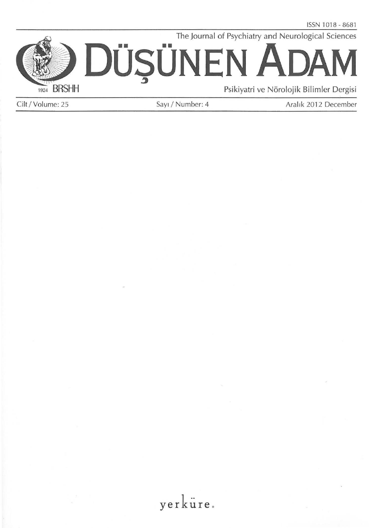The Journal of Psychiatry and Neurological Sciences



Cilt / Volume: 25 Sayı / Number: 4 Aralık 2012 December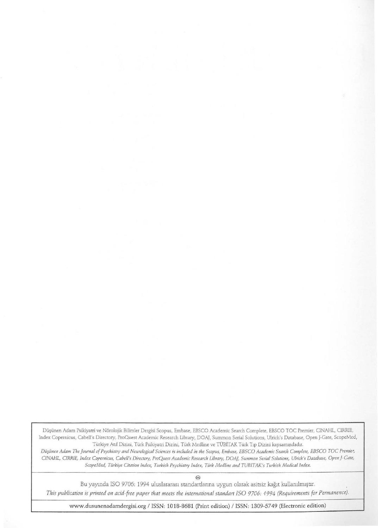Düşünen Adam Psikiyatri ve Nörolojik Bilimler Dergisi Scopus, Embase, EBSCO Academic Search Complete, EBSCO TOC Premier, CINAHL, CIRRIE, Index Copernicus, Cabell's Directory. ProOuest Academic Research Library, DOA), Summon Serial Solutions, Ulrich's Database, Open )-Gate, ScopeMed, Turkiye Aaf Dizini, Turk Psikiyatri Dizini, Turk Medline ve TOBiTAK Turk T1p Dizini kapsammdad1r.

*Du§ullw Adam The journal of Psychiatry and Neurological Sciences is included in the Scopus, Embase, EBSCO Academic Search Complete, EBSCO TOC Premier,*  CINAHL, CIRRIE, Index Copernicus, Cabell's Directory, ProQuest Academic Research Library, DOAJ, Summon Serial Solutions, Ulrich's Database, Open J-Gate, *ScopeMed, Türkiye Citation Index, Turkish Psychiatry Index, Türk Medline and TUBITAK's Turkish Medical Index.* 

€9

Bu yayında ISO 9706: 1994 uluslararası standartlarına uygun olarak asitsiz kağıt kullanılmıştır.

*This publication is printed on acid-free paper that meets the international standart ISO 9706: 1994 (Requirements for Permanence).* 

www.dusunenadamdergisi.org / ISSN: 1018-8681 (Print edition) / ISSN: 1309-5749 (Electronic edition)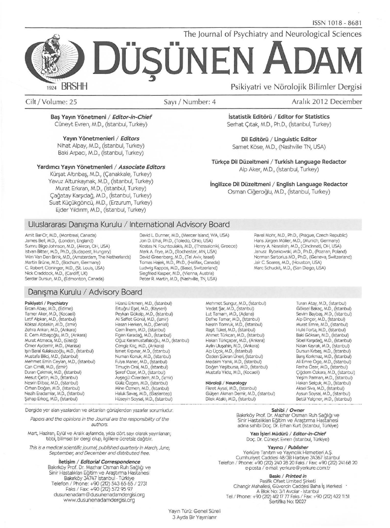The Journal of Psychiatry and Neurological Sciences

# **DOSONEN**  ., **ADAM BRSHH** Psikiyatri ve Nörolojik Bilimler Dergisi 1924

Cilt / Volume: 25 Sayı / Number: 4 Aralık 2012 December

Bas Yayın Yönetmeni / Editor-in-Chief Cüneyt Evren, M.D., (İstanbul, Turkey)

Yayın Yönetmenleri / Editors

Nihat Alpay, M.D., (istanbul, Turkey) Baki Arpacı, M.D., (İstanbul, Turkey)

#### Yardımcı Yayın Yönetmenleri / Associate Editors

Kürşat Altınbaş, M.D., (Çanakkale, Turkey) Yavuz Altunkaynak, M.D., (İstanbul, Turkey) Murat Erkıran, M.D., (İstanbul, Turkey) Çağatay Karşıdağ, M.D., (İstanbul, Turkey) Suat Küçükgöncü, M.D., (Erzurum, Turkey) Ejder Yıldırım, M.D., (İstanbul, Turkey)

İstatistik Editörü / Editor for Statistics Serhat Çıtak, M.D., Ph.D., (İstanbul, Turkey)

Dil Editörü / Linguistic Editor Samet Köse, M.D., (Nashville TN, USA)

Türkçe Dil Düzeltmeni / Turkish Language Redactor Alp Aker, M.D., (istanbul, Turkey)

İngilizce Dil Düzeltmeni / English Language Redactor Osman Ciğeroğlu, M.D., (İstanbul, Turkey)

## Uluslararası Danışma Kurulu / International Advisory Board

Amit Bar-Or, M.D., (Montreal, Canada) James Bell, M.D., (London, England) Sumru Bilge-Johnson, M.D., (Akron, OH, USA) Istvan Bitter, M.D., Ph.D., (Budapest, Hungary) Wim Van Den Brink, M.D., (Amsterdam, The Netherlands) Martin Brüne, M.D., (Bochum, Germany) C. Robert Cloninger, M.D., (St. Louis, USA) Ludwig Kappos, M.D., (Basel, Switzerland) Marc Schuckit, M.D., (San Diego, USA)<br>Nick Craddock, M.D., (Cardiff, UK) Siegfried Kasper, M.D., (Vienna, Austr Serdar Dursun, M.D., (Edmonton, Canada) Peter R. Martin, M.D., (Nashville, TN, USA)

### David L Dunner, M.D., (Mercer Island, WA, USA) Jon D. Elhai, Ph.D., (Toledo, Ohio, USA) Kostas N. Fountoulakis, M.D., (Thessaloniki, Greece) Mark A Frye, M.D., (Rochester, MN, USA) David Greenberg, M.D., (Tel Aviv, Israel) Tomas Hajek, M.D., Ph.D., (Halifax, Canada)<br>Ludwig Kappos, M.D., (Basel, Switzerland)<br>Siegfried Kasper, M.D., (Vienna, Austria)

#### Pavel Mohr, M.D., Ph.D., (Prague, Czech Republic) Hans Jürgen Möller, M.D., (Munich, Germany) Henry A Nasrallah, M.D., (Cincinnati, OH, USA) Janusz Rybakowski, M.D., Ph.D., (Poznan, Poland) Norman Sartorius MD., Ph.D., (Geneva, Switzerland) Jair C. Soares, M.D., (Houston, USA)<br>Marc Schuckit, M.D., (San Diego, USA)

## Danışma Kurulu / Advisory Board

#### Psikiyatri / Psychiatry

Ercan Abay, M.D., (Edime) Tamer Aker, M.D., (Kocaeli) Latif Alpkan, M.D., (istanbul) K6ksal Alptekin, M.D., (izmir) Zehra Ankan, M.D., (Ankara) E. Cem Atbaşoğlu, M.D., (Ankara) Murat Atmaca, M.D., (Eiazig) Orner Aydemir, M.D., (Manisa) lşın Baral Kulaksızoğlu, M.D., (İstanbul) Mustafa Bilid, M.D., (istanbul) Mehmet Emin Ceylan, M.D., (istanbul) Can Cimilli, M.D., (İzmir) Duran Çakmak, M.D., (İstanbul) Mesut Çetin, M.D., (İstanbul)<br>Nesrin Dilbaz, M.D., (İstanbul) Orhan Dogan, M.D., (istanbul) Nezih Eradamlar, M.D., (istanbul) Şahap Erkoç, M.D., (İstanbul)

Hüsnü Erkmen, M.D., (İstanbul)<br>Ertuğrul Eşel, M.D., (Kayseri) Peykan G6kalp, M.D., (istanbul) Ali Saffet Gönül, M.D., (İzmir) Hasan Herken, M.D., (Denizli) Cern inem, M.D., (istanbul) Figen Karadağ, M.D., (İstanbul) oguz Karamustafahoglu, M.D., (istanbul) Cengiz Kılıç, M.D., (Ankara) ismet Klrpnar, M.D., (istanbul) Numan Konuk, M.D., (istanbul) Fulya Maner, M.D., (İstanbul) Timuçin Oral, M.D., (İstanbul) \$eref Ozer, M.D., (istanbul) Ayşegül Özerdem, M.D., (İzmir) Guliz Ozgen, M.D., (istanbul) Mine Ozmen, M.D., (istanbul) Haluk Savaş, M.D., (Gaziantep)<br>Hüseyin Soysal, M.D., (İstanbul)

Dergide yer alan yazılardan ve aktarılan görüşlerden yazarlar sorumludur.

Papers and the opinions in the Journal are the responsibility of the authors.

Mart, Haziran, Eylül ve Aralık aylarında, yılda dört sayı olarak yayınlanan; tıbbi, bilimsel bir dergi olup, ilgililere ücretsiz dağıtılır.

This is a medical scientific journal, published quarterly in March, June, september, and December and distributed free.

> lletisim / Editorial Correspondence Bakırköy Prof. Dr. Mazhar Osman Ruh Sağlığı ve Sinir Hastalıkları Eğitim ve Araştırma Hastanesi<br>Bakırköy 34747 İstanbul - Türkiye<br>Telefon / Phone: +90 (212) 543 65 65 / 2731<br>Faks / Fax: +90 (212) 572 95 97

dusunenadam @dusunenadamdergisi.org www.dusunenadamdergisi.org

Lut Tamam, M.D., (Adana) Oefne Tamar, M.D., (istanbul) Nesrin Tomruk, M.D., (istanbul) Rașit Tükel, M.D., (İstanbul) Ahmet Türkcan, M.D., (İstanbul) Hakan Türkçapar, M.D., (Ankara) Aylin Uluşahin, M.D., (Ankara) Alp Üçok, M.D., (İstanbul) Özden Şükran Üneri, (İstanbul) Medaim Yamk, M.D., (istanbul) Doğan Yeşilbursa, M.D., (İstanbul) Mustafa Y1ld1z, M.D., (Kocaeli) Nöroloji / Neurology

Mehmet Sungur, M.D., (İstanbul)<br>Vedat Şar, M.D., (İstanbul)

Fikret Aysal, M.D., (istanbul) Gülşen Akman Demir, M.D., (İstanbul) Dilek Ataklı, M.D., (İstanbul)

Turan Atay, M.D., (istanbul) Göksel Bakaç, M.D., (İstanbul) Sevim Baybaş, M.D., (İstanbul) Alp Dinçer, M.D., (İstanbul) Murat Emre, M.D., (istanbul) Hulki Forta, M.D., (istanbul) Baki Göksan, M.D., (İstanbul) Sibel Karşıdağ, M.D., (İstanbul) Nalan Kayrak, M.D., (istanbul) Dursun Kırbaş, M.D., (İstanbul) Barış Korkmaz, M.D., (İstanbul) Ali Emre Oge, M.D., (Istanbul) Feriha Özer, M.D., (İstanbul) Çiğdem Özkara, M.D., (İstanbul) Yeşim Parman, M.D., (İstanbul) Hakan Selçuk, M.D., (İstanbul) Aksel Siva, M.D., (İstanbul) Aysun Soysat, M.D., (istanbul) Betül Yalçıner, M.D., (İstanbul)

Sahibi / Owner

Bakırköy Prof. Dr. Mazhar Osman Ruh Sağlığı ve<br>Sinir Hastalıkları Eğitim ve Araştırma Hastanesi<br>adına sahibi Doç. Dr. Erhan Kurt (İstanbul, Türkiye)

Yazı İşleri Müdürü / Editor-in-Chief Doç. Dr. Cüneyt Evren (İstanbul, Türkiye)

#### Yayıncı / Publisher

Yerküre Tanıtım ve Yayıncılık Hizmetleri A.Ş.<br>Cumhuriyet Caddesi 48/38 Harbiye 34367 İstanbul Telefon / Phone: +90 (212) 240 28 20 Faks / Fax: +90 (212) 241 68 20<br>e-posta / e-mail: yerkure@yerkure.com.tr

Baskı / Printed in

Pasifik Ofset Limited Şirketi Cihangir Mahallesi, Güvercin Caddesi Baha İş Merkezi · A Blok No: J/1 Avalar · Istanbul Tel I Phone: +90 (212) 412 17 77 Faks I Fax: +90 (212) 4221151 Sertifika No: 12027

Yayın Türü: Genel Süreli 3 Ayda Bir Yayınlanır